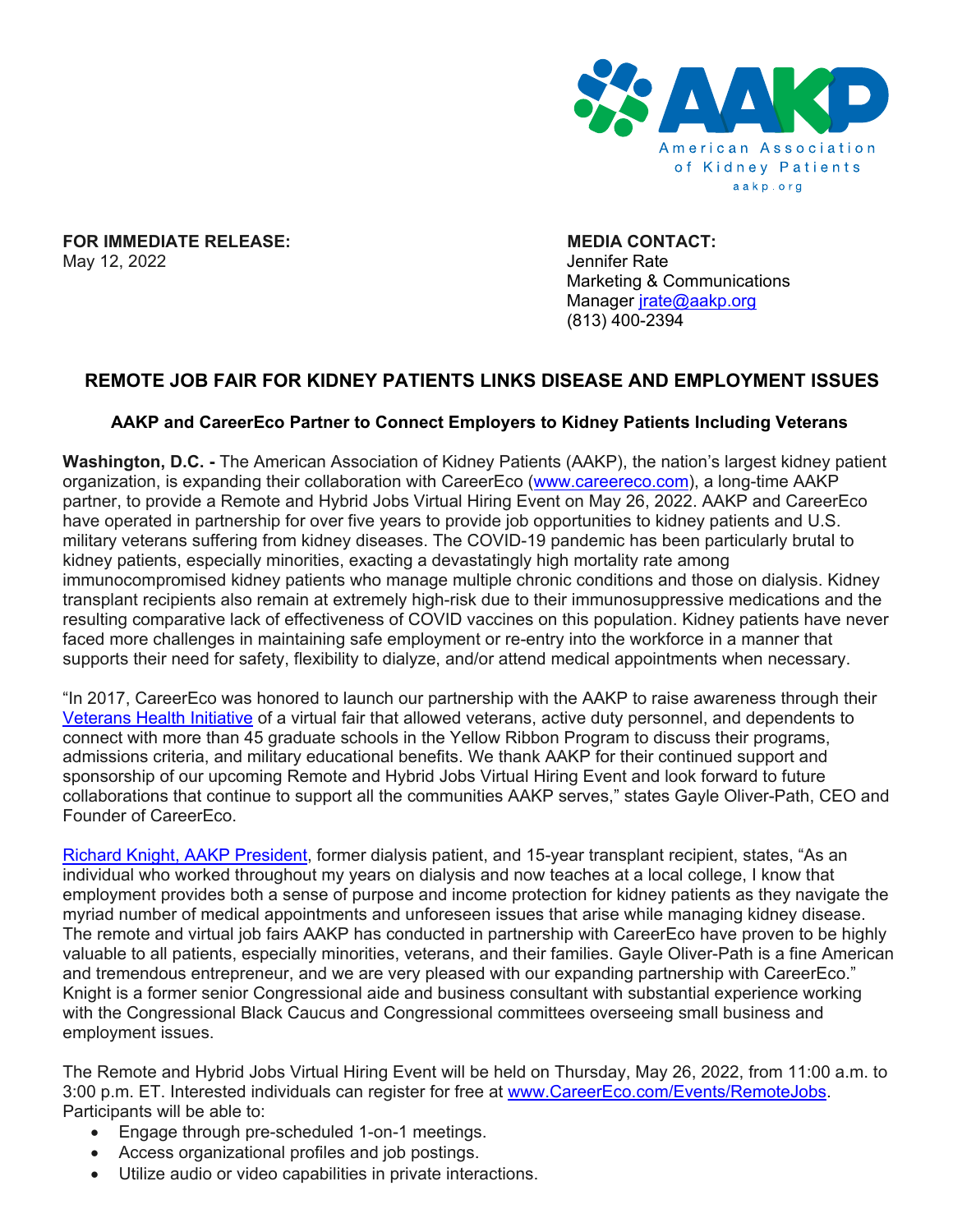

**FOR IMMEDIATE RELEASE:** MEDIA CONTACT:<br>May 12, 2022 May 12, 2022

Marketing & Communications Manager [jrate@aakp.org](mailto:jrate@aakp.org) (813) 400-2394

## **REMOTE JOB FAIR FOR KIDNEY PATIENTS LINKS DISEASE AND EMPLOYMENT ISSUES**

## **AAKP and CareerEco Partner to Connect Employers to Kidney Patients Including Veterans**

**Washington, D.C. -** The American Association of Kidney Patients (AAKP), the nation's largest kidney patient organization, is expanding their collaboration with CareerEco [\(www.careereco.com\)](http://www.careereco.com/), a long-time AAKP partner, to provide a Remote and Hybrid Jobs Virtual Hiring Event on May 26, 2022. AAKP and CareerEco have operated in partnership for over five years to provide job opportunities to kidney patients and U.S. military veterans suffering from kidney diseases. The COVID-19 pandemic has been particularly brutal to kidney patients, especially minorities, exacting a devastatingly high mortality rate among immunocompromised kidney patients who manage multiple chronic conditions and those on dialysis. Kidney transplant recipients also remain at extremely high-risk due to their immunosuppressive medications and the resulting comparative lack of effectiveness of COVID vaccines on this population. Kidney patients have never faced more challenges in maintaining safe employment or re-entry into the workforce in a manner that supports their need for safety, flexibility to dialyze, and/or attend medical appointments when necessary.

"In 2017, CareerEco was honored to launch our partnership with the AAKP to raise awareness through their [Veterans Health Initiative](https://bit.ly/AAKPVeteransHealthInitiative) of a virtual fair that allowed veterans, active duty personnel, and dependents to connect with more than 45 graduate schools in the Yellow Ribbon Program to discuss their programs, admissions criteria, and military educational benefits. We thank AAKP for their continued support and sponsorship of our upcoming Remote and Hybrid Jobs Virtual Hiring Event and look forward to future collaborations that continue to support all the communities AAKP serves," states Gayle Oliver-Path, CEO and Founder of CareerEco.

[Richard Knight, AAKP President,](https://bit.ly/PVConwayKnight) former dialysis patient, and 15-year transplant recipient, states, "As an individual who worked throughout my years on dialysis and now teaches at a local college, I know that employment provides both a sense of purpose and income protection for kidney patients as they navigate the myriad number of medical appointments and unforeseen issues that arise while managing kidney disease. The remote and virtual job fairs AAKP has conducted in partnership with CareerEco have proven to be highly valuable to all patients, especially minorities, veterans, and their families. Gayle Oliver-Path is a fine American and tremendous entrepreneur, and we are very pleased with our expanding partnership with CareerEco." Knight is a former senior Congressional aide and business consultant with substantial experience working with the Congressional Black Caucus and Congressional committees overseeing small business and employment issues.

The Remote and Hybrid Jobs Virtual Hiring Event will be held on Thursday, May 26, 2022, from 11:00 a.m. to 3:00 p.m. ET. Interested individuals can register for free at [www.CareerEco.com/Events/RemoteJobs.](http://www.careereco.com/Events/RemoteJobs) Participants will be able to:

- Engage through pre-scheduled 1-on-1 meetings.
- Access organizational profiles and job postings.
- Utilize audio or video capabilities in private interactions.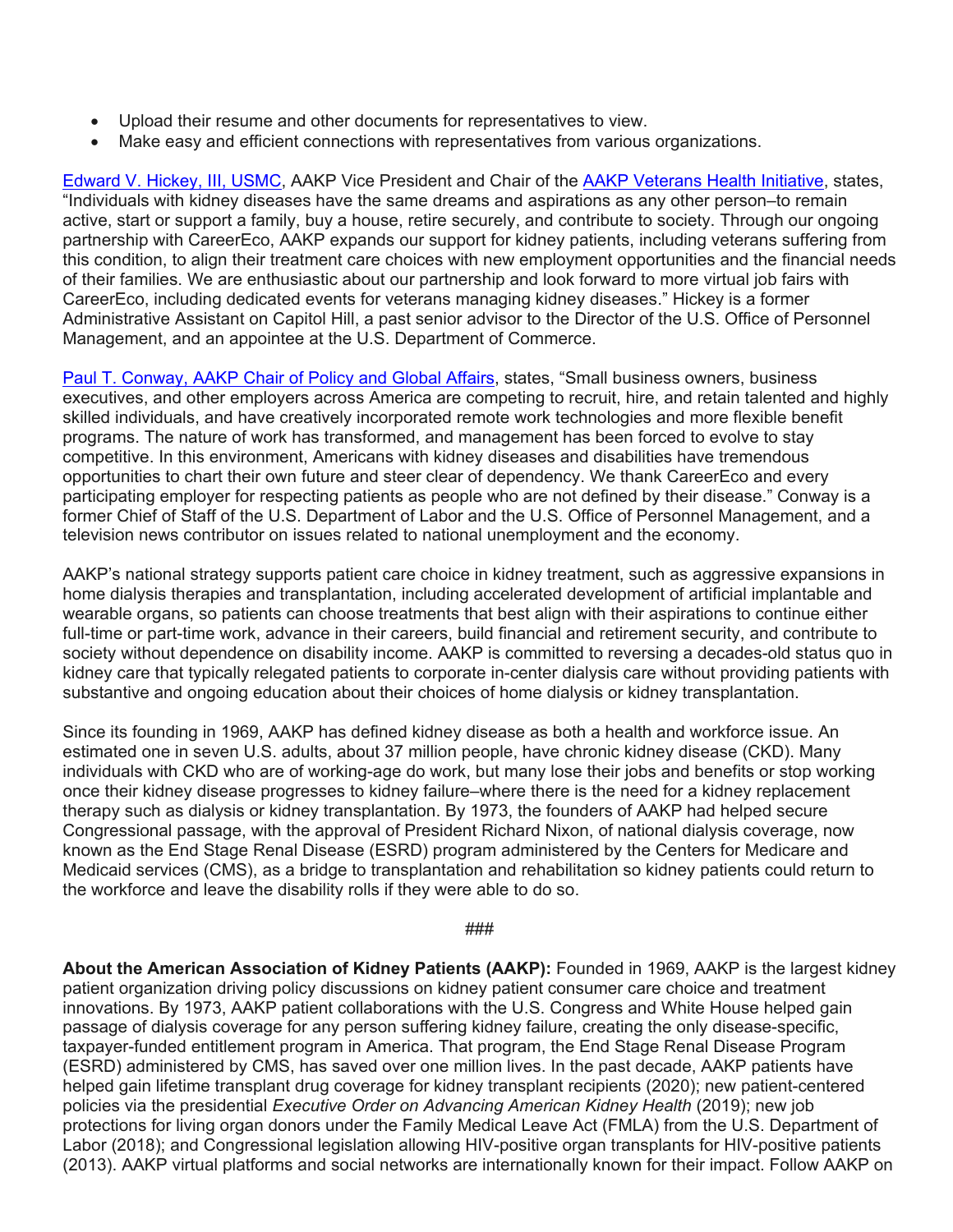- Upload their resume and other documents for representatives to view.
- Make easy and efficient connections with representatives from various organizations.

[Edward V. Hickey, III, USMC,](https://bit.ly/PVHickey2) AAKP Vice President and Chair of the **AAKP Veterans Health Initiative**, states, "Individuals with kidney diseases have the same dreams and aspirations as any other person–to remain active, start or support a family, buy a house, retire securely, and contribute to society. Through our ongoing partnership with CareerEco, AAKP expands our support for kidney patients, including veterans suffering from this condition, to align their treatment care choices with new employment opportunities and the financial needs of their families. We are enthusiastic about our partnership and look forward to more virtual job fairs with CareerEco, including dedicated events for veterans managing kidney diseases." Hickey is a former Administrative Assistant on Capitol Hill, a past senior advisor to the Director of the U.S. Office of Personnel Management, and an appointee at the U.S. Department of Commerce.

[Paul T. Conway, AAKP Chair of Policy and](https://bit.ly/ConwayPV2) Global Affairs, states, "Small business owners, business executives, and other employers across America are competing to recruit, hire, and retain talented and highly skilled individuals, and have creatively incorporated remote work technologies and more flexible benefit programs. The nature of work has transformed, and management has been forced to evolve to stay competitive. In this environment, Americans with kidney diseases and disabilities have tremendous opportunities to chart their own future and steer clear of dependency. We thank CareerEco and every participating employer for respecting patients as people who are not defined by their disease." Conway is a former Chief of Staff of the U.S. Department of Labor and the U.S. Office of Personnel Management, and a television news contributor on issues related to national unemployment and the economy.

AAKP's national strategy supports patient care choice in kidney treatment, such as aggressive expansions in home dialysis therapies and transplantation, including accelerated development of artificial implantable and wearable organs, so patients can choose treatments that best align with their aspirations to continue either full-time or part-time work, advance in their careers, build financial and retirement security, and contribute to society without dependence on disability income. AAKP is committed to reversing a decades-old status quo in kidney care that typically relegated patients to corporate in-center dialysis care without providing patients with substantive and ongoing education about their choices of home dialysis or kidney transplantation.

Since its founding in 1969, AAKP has defined kidney disease as both a health and workforce issue. An estimated one in seven U.S. adults, about 37 million people, have chronic kidney disease (CKD). Many individuals with CKD who are of working-age do work, but many lose their jobs and benefits or stop working once their kidney disease progresses to kidney failure–where there is the need for a kidney replacement therapy such as dialysis or kidney transplantation. By 1973, the founders of AAKP had helped secure Congressional passage, with the approval of President Richard Nixon, of national dialysis coverage, now known as the End Stage Renal Disease (ESRD) program administered by the Centers for Medicare and Medicaid services (CMS), as a bridge to transplantation and rehabilitation so kidney patients could return to the workforce and leave the disability rolls if they were able to do so.

###

**About the American Association of Kidney Patients (AAKP):** Founded in 1969, AAKP is the largest kidney patient organization driving policy discussions on kidney patient consumer care choice and treatment innovations. By 1973, AAKP patient collaborations with the U.S. Congress and White House helped gain passage of dialysis coverage for any person suffering kidney failure, creating the only disease-specific, taxpayer-funded entitlement program in America. That program, the End Stage Renal Disease Program (ESRD) administered by CMS, has saved over one million lives. In the past decade, AAKP patients have helped gain lifetime transplant drug coverage for kidney transplant recipients (2020); new patient-centered policies via the presidential *Executive Order on Advancing American Kidney Health* (2019); new job protections for living organ donors under the Family Medical Leave Act (FMLA) from the U.S. Department of Labor (2018); and Congressional legislation allowing HIV-positive organ transplants for HIV-positive patients (2013). AAKP virtual platforms and social networks are internationally known for their impact. Follow AAKP on